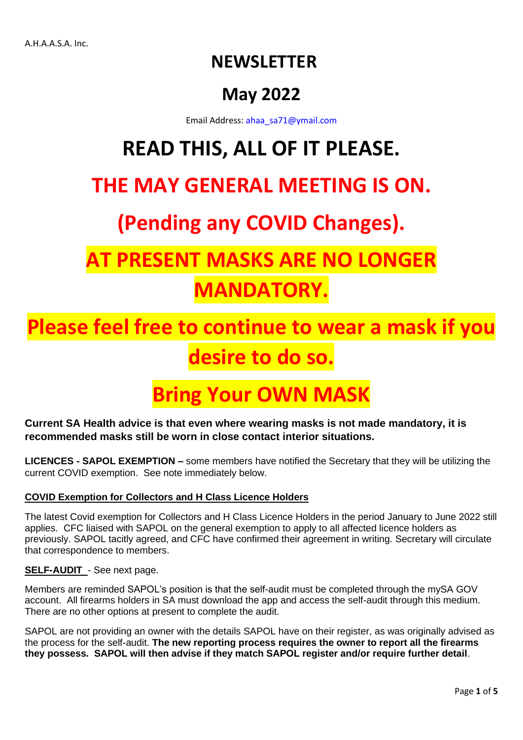### **NEWSLETTER**

### **May 2022**

Email Address: [ahaa\\_sa71@ymail.com](mailto:ahaa_sa71@ymail.com)

# **READ THIS, ALL OF IT PLEASE.**

### **THE MAY GENERAL MEETING IS ON.**

## **(Pending any COVID Changes).**

# **PRESENT MASKS ARE NO LON MANDATORY.**

# **Place feel free to continue to wear a mask if your desire to do so.**

## **Bring Your OWN MAS**

**Current SA Health advice is that even where wearing masks is not made mandatory, it is recommended masks still be worn in close contact interior situations.**

**LICENCES - SAPOL EXEMPTION –** some members have notified the Secretary that they will be utilizing the current COVID exemption. See note immediately below.

#### **COVID Exemption for Collectors and H Class Licence Holders**

The latest Covid exemption for Collectors and H Class Licence Holders in the period January to June 2022 still applies. CFC liaised with SAPOL on the general exemption to apply to all affected licence holders as previously. SAPOL tacitly agreed, and CFC have confirmed their agreement in writing. Secretary will circulate that correspondence to members.

#### **SELF-AUDIT** - See next page.

Members are reminded SAPOL's position is that the self-audit must be completed through the mySA GOV account. All firearms holders in SA must download the app and access the self-audit through this medium. There are no other options at present to complete the audit.

SAPOL are not providing an owner with the details SAPOL have on their register, as was originally advised as the process for the self-audit. **The new reporting process requires the owner to report all the firearms they possess. SAPOL will then advise if they match SAPOL register and/or require further detail**.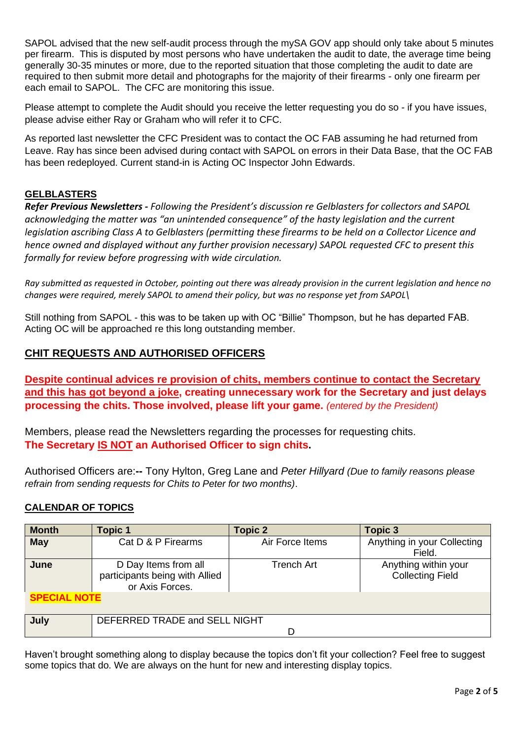SAPOL advised that the new self-audit process through the mySA GOV app should only take about 5 minutes per firearm. This is disputed by most persons who have undertaken the audit to date, the average time being generally 30-35 minutes or more, due to the reported situation that those completing the audit to date are required to then submit more detail and photographs for the majority of their firearms - only one firearm per each email to SAPOL. The CFC are monitoring this issue.

Please attempt to complete the Audit should you receive the letter requesting you do so - if you have issues, please advise either Ray or Graham who will refer it to CFC.

As reported last newsletter the CFC President was to contact the OC FAB assuming he had returned from Leave. Ray has since been advised during contact with SAPOL on errors in their Data Base, that the OC FAB has been redeployed. Current stand-in is Acting OC Inspector John Edwards.

#### **GELBLASTERS**

*Refer Previous Newsletters - Following the President's discussion re Gelblasters for collectors and SAPOL acknowledging the matter was "an unintended consequence" of the hasty legislation and the current legislation ascribing Class A to Gelblasters (permitting these firearms to be held on a Collector Licence and hence owned and displayed without any further provision necessary) SAPOL requested CFC to present this formally for review before progressing with wide circulation.*

*Ray submitted as requested in October, pointing out there was already provision in the current legislation and hence no changes were required, merely SAPOL to amend their policy, but was no response yet from SAPOL\*

Still nothing from SAPOL - this was to be taken up with OC "Billie" Thompson, but he has departed FAB. Acting OC will be approached re this long outstanding member.

#### **CHIT REQUESTS AND AUTHORISED OFFICERS**

**Despite continual advices re provision of chits, members continue to contact the Secretary and this has got beyond a joke, creating unnecessary work for the Secretary and just delays processing the chits. Those involved, please lift your game.** *(entered by the President)*

Members, please read the Newsletters regarding the processes for requesting chits. **The Secretary IS NOT an Authorised Officer to sign chits.** 

Authorised Officers are:**--** Tony Hylton, Greg Lane and *Peter Hillyard (Due to family reasons please refrain from sending requests for Chits to Peter for two months)*.

#### **CALENDAR OF TOPICS**

| <b>Month</b>        | <b>Topic 1</b>                                                            | <b>Topic 2</b>  | <b>Topic 3</b>                                  |
|---------------------|---------------------------------------------------------------------------|-----------------|-------------------------------------------------|
| <b>May</b>          | Cat D & P Firearms                                                        | Air Force Items | Anything in your Collecting<br>Field.           |
| June                | D Day Items from all<br>participants being with Allied<br>or Axis Forces. | Trench Art      | Anything within your<br><b>Collecting Field</b> |
| <b>SPECIAL NOTE</b> |                                                                           |                 |                                                 |
| July                | DEFERRED TRADE and SELL NIGHT<br>D                                        |                 |                                                 |

Haven't brought something along to display because the topics don't fit your collection? Feel free to suggest some topics that do. We are always on the hunt for new and interesting display topics.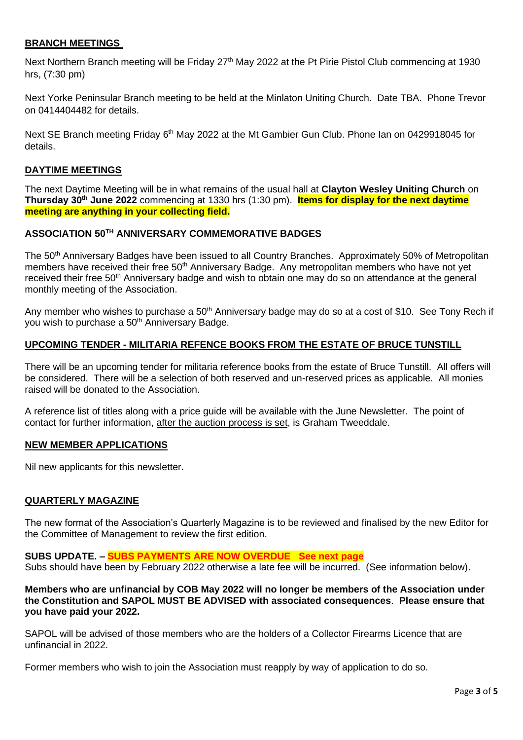#### **BRANCH MEETINGS**

Next Northern Branch meeting will be Friday 27<sup>th</sup> May 2022 at the Pt Pirie Pistol Club commencing at 1930 hrs, (7:30 pm)

Next Yorke Peninsular Branch meeting to be held at the Minlaton Uniting Church. Date TBA. Phone Trevor on 0414404482 for details.

Next SE Branch meeting Friday 6<sup>th</sup> May 2022 at the Mt Gambier Gun Club. Phone Ian on 0429918045 for details.

#### **DAYTIME MEETINGS**

The next Daytime Meeting will be in what remains of the usual hall at **Clayton Wesley Uniting Church** on **Thursday 30th June 2022** commencing at 1330 hrs (1:30 pm). **Items for display for the next daytime meeting are anything in your collecting field.**

#### **ASSOCIATION 50TH ANNIVERSARY COMMEMORATIVE BADGES**

The 50<sup>th</sup> Anniversary Badges have been issued to all Country Branches. Approximately 50% of Metropolitan members have received their free 50<sup>th</sup> Anniversary Badge. Any metropolitan members who have not yet received their free 50<sup>th</sup> Anniversary badge and wish to obtain one may do so on attendance at the general monthly meeting of the Association.

Any member who wishes to purchase a  $50<sup>th</sup>$  Anniversary badge may do so at a cost of \$10. See Tony Rech if you wish to purchase a 50th Anniversary Badge.

#### **UPCOMING TENDER - MILITARIA REFENCE BOOKS FROM THE ESTATE OF BRUCE TUNSTILL**

There will be an upcoming tender for militaria reference books from the estate of Bruce Tunstill. All offers will be considered. There will be a selection of both reserved and un-reserved prices as applicable. All monies raised will be donated to the Association.

A reference list of titles along with a price guide will be available with the June Newsletter. The point of contact for further information, after the auction process is set, is Graham Tweeddale.

#### **NEW MEMBER APPLICATIONS**

Nil new applicants for this newsletter.

#### **QUARTERLY MAGAZINE**

The new format of the Association's Quarterly Magazine is to be reviewed and finalised by the new Editor for the Committee of Management to review the first edition.

**SUBS UPDATE. – SUBS PAYMENTS ARE NOW OVERDUE See next page** Subs should have been by February 2022 otherwise a late fee will be incurred. (See information below).

**Members who are unfinancial by COB May 2022 will no longer be members of the Association under the Constitution and SAPOL MUST BE ADVISED with associated consequences**. **Please ensure that you have paid your 2022.** 

SAPOL will be advised of those members who are the holders of a Collector Firearms Licence that are unfinancial in 2022.

Former members who wish to join the Association must reapply by way of application to do so.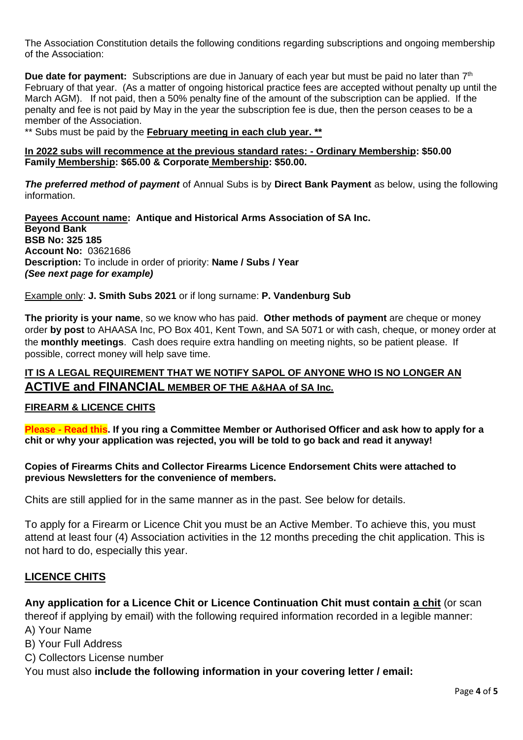The Association Constitution details the following conditions regarding subscriptions and ongoing membership of the Association:

**Due date for payment:** Subscriptions are due in January of each year but must be paid no later than 7<sup>th</sup> February of that year. (As a matter of ongoing historical practice fees are accepted without penalty up until the March AGM). If not paid, then a 50% penalty fine of the amount of the subscription can be applied. If the penalty and fee is not paid by May in the year the subscription fee is due, then the person ceases to be a member of the Association.

\*\* Subs must be paid by the **February meeting in each club year. \*\***

**In 2022 subs will recommence at the previous standard rates: - Ordinary Membership: \$50.00 Family Membership: \$65.00 & Corporate Membership: \$50.00.**

*The preferred method of payment* of Annual Subs is by **Direct Bank Payment** as below, using the following information.

**Payees Account name: Antique and Historical Arms Association of SA Inc. Beyond Bank BSB No: 325 185 Account No:** 03621686 **Description:** To include in order of priority: **Name / Subs / Year** *(See next page for example)*

#### Example only: **J. Smith Subs 2021** or if long surname: **P. Vandenburg Sub**

**The priority is your name**, so we know who has paid. **Other methods of payment** are cheque or money order **by post** to AHAASA Inc, PO Box 401, Kent Town, and SA 5071 or with cash, cheque, or money order at the **monthly meetings**. Cash does require extra handling on meeting nights, so be patient please. If possible, correct money will help save time.

#### **IT IS A LEGAL REQUIREMENT THAT WE NOTIFY SAPOL OF ANYONE WHO IS NO LONGER AN ACTIVE and FINANCIAL MEMBER OF THE A&HAA of SA Inc.**

#### **FIREARM & LICENCE CHITS**

**Please - Read this. If you ring a Committee Member or Authorised Officer and ask how to apply for a chit or why your application was rejected, you will be told to go back and read it anyway!**

**Copies of Firearms Chits and Collector Firearms Licence Endorsement Chits were attached to previous Newsletters for the convenience of members.**

Chits are still applied for in the same manner as in the past. See below for details.

To apply for a Firearm or Licence Chit you must be an Active Member. To achieve this, you must attend at least four (4) Association activities in the 12 months preceding the chit application. This is not hard to do, especially this year.

#### **LICENCE CHITS**

**Any application for a Licence Chit or Licence Continuation Chit must contain a chit** (or scan thereof if applying by email) with the following required information recorded in a legible manner: A) Your Name

- B) Your Full Address
- C) Collectors License number

You must also **include the following information in your covering letter / email:**